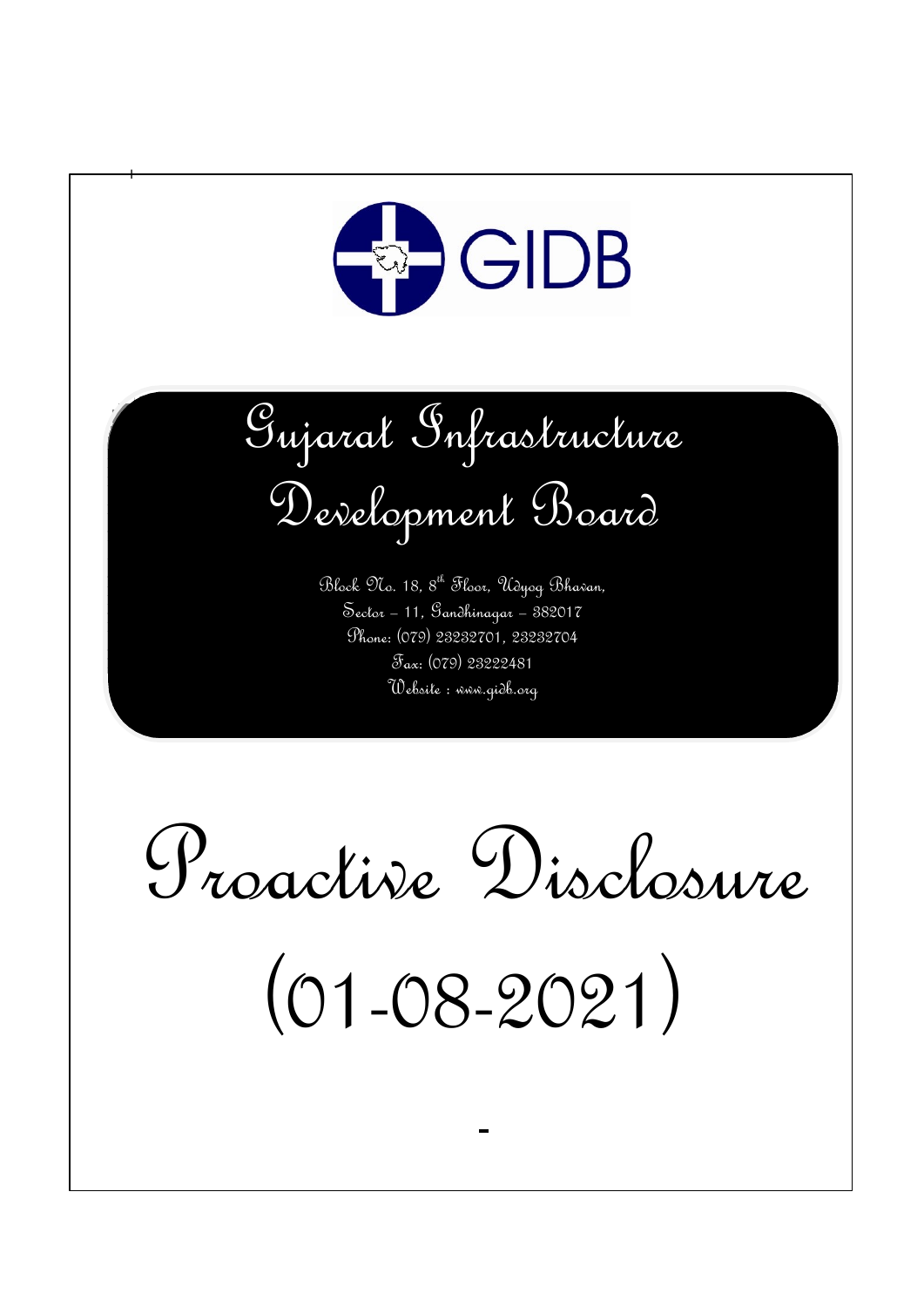

 $\ddagger$ 

Gujarat Infrastructure Development Board

Block No. 18, 8th Floor, Udyog Bhavan, Sector – 11, Gandhinagar – 382017 Phone: (079) 23232701, 23232704 Fax: (079) 23222481 Website : www.gidb.org

Proactive Disclosure

(01-08-2021)